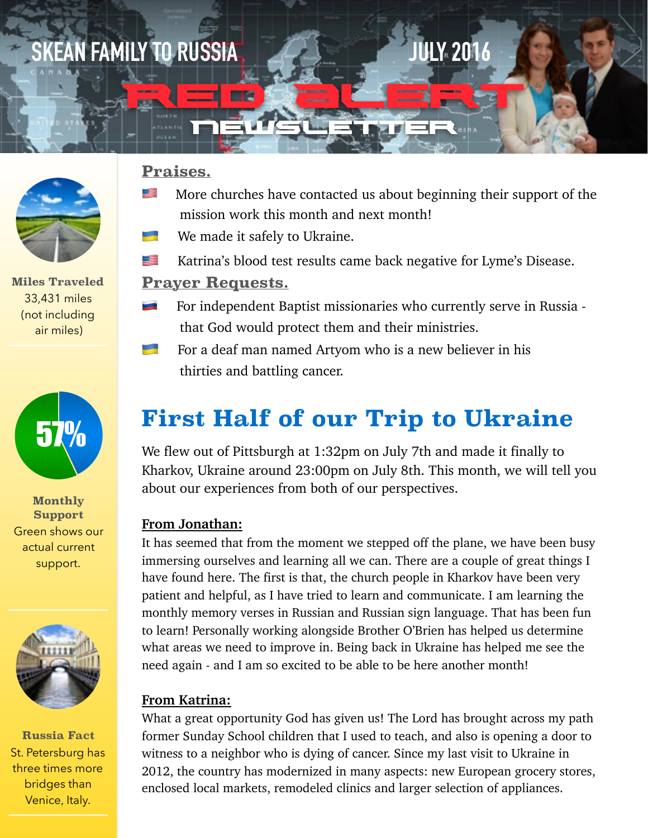# **Lorem III SKEAN FAMILY TO RUSSIA JULY 2016**

# newsüe wier

**Red Alert** 



**Miles Traveled** 33,431 miles (not including air miles)



**Monthly Support** Green shows our actual current support.



**Russia Fact** St. Petersburg has three times more bridges than Venice, Italy.

### **Praises.**

- **If More churches have contacted us about beginning their support of the** mission work this month and next month!
- We made it safely to Ukraine.
- **EXECUTE:** Katrina's blood test results came back negative for Lyme's Disease.

#### **Prayer Requests.**

- For independent Baptist missionaries who currently serve in Russia that God would protect them and their ministries.
- For a deaf man named Artyom who is a new believer in his thirties and battling cancer.

# **First Half of our Trip to Ukraine**

We flew out of Pittsburgh at 1:32pm on July 7th and made it finally to Kharkov, Ukraine around 23:00pm on July 8th. This month, we will tell you about our experiences from both of our perspectives.

#### **From Jonathan:**

It has seemed that from the moment we stepped off the plane, we have been busy immersing ourselves and learning all we can. There are a couple of great things I have found here. The first is that, the church people in Kharkov have been very patient and helpful, as I have tried to learn and communicate. I am learning the monthly memory verses in Russian and Russian sign language. That has been fun to learn! Personally working alongside Brother O'Brien has helped us determine what areas we need to improve in. Being back in Ukraine has helped me see the need again - and I am so excited to be able to be here another month!

#### **From Katrina:**

What a great opportunity God has given us! The Lord has brought across my path former Sunday School children that I used to teach, and also is opening a door to witness to a neighbor who is dying of cancer. Since my last visit to Ukraine in 2012, the country has modernized in many aspects: new European grocery stores, enclosed local markets, remodeled clinics and larger selection of appliances.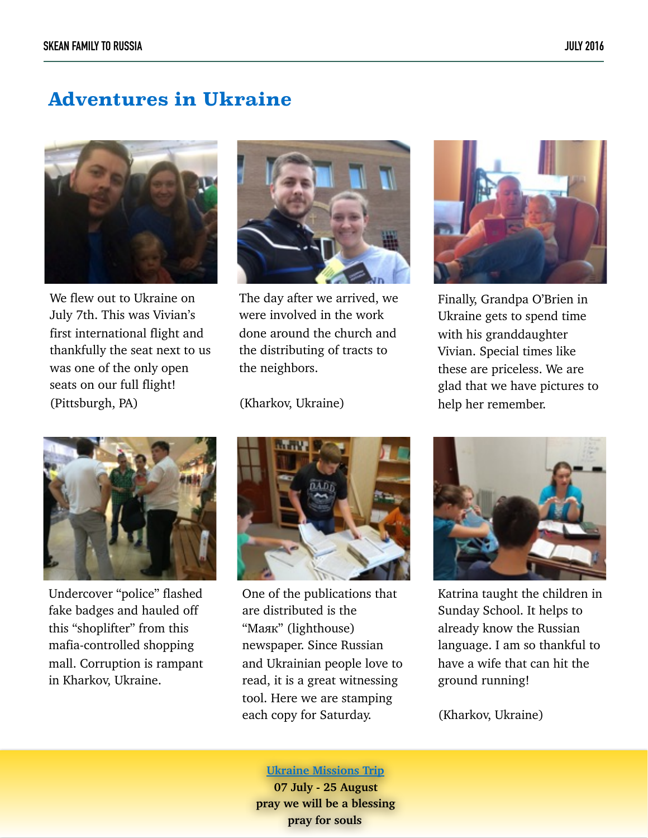### **Adventures in Ukraine**



We flew out to Ukraine on July 7th. This was Vivian's first international flight and thankfully the seat next to us was one of the only open seats on our full flight! (Pittsburgh, PA)



The day after we arrived, we were involved in the work done around the church and the distributing of tracts to the neighbors.

(Kharkov, Ukraine)



Finally, Grandpa O'Brien in Ukraine gets to spend time with his granddaughter Vivian. Special times like these are priceless. We are glad that we have pictures to help her remember.



Undercover "police" flashed fake badges and hauled off this "shoplifter" from this mafia-controlled shopping mall. Corruption is rampant in Kharkov, Ukraine.



One of the publications that are distributed is the "Мaяк" (lighthouse) newspaper. Since Russian and Ukrainian people love to read, it is a great witnessing tool. Here we are stamping each copy for Saturday.



Katrina taught the children in Sunday School. It helps to already know the Russian language. I am so thankful to have a wife that can hit the ground running!

(Kharkov, Ukraine)

#### **Ukraine Missions Trip**

**07 July - 25 August pray we will be a blessing pray for souls**